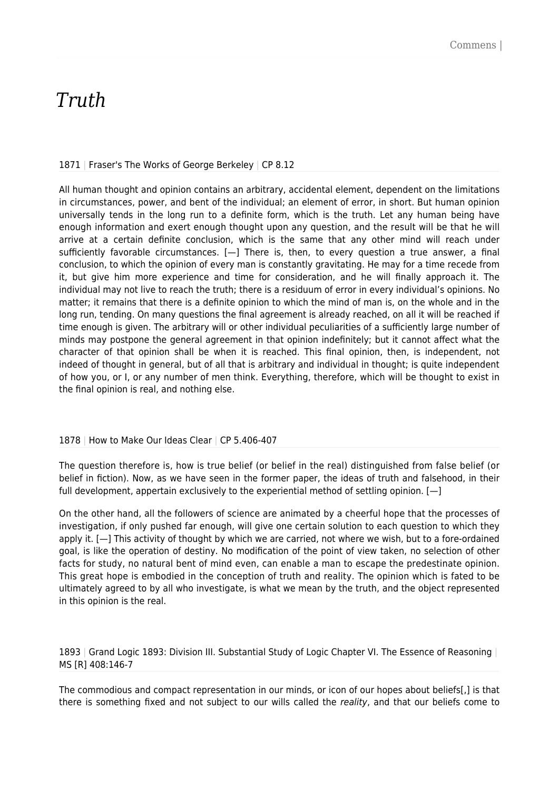# *Truth*

#### 1871 | Fraser's The Works of George Berkeley | CP 8.12

All human thought and opinion contains an arbitrary, accidental element, dependent on the limitations in circumstances, power, and bent of the individual; an element of error, in short. But human opinion universally tends in the long run to a definite form, which is the truth. Let any human being have enough information and exert enough thought upon any question, and the result will be that he will arrive at a certain definite conclusion, which is the same that any other mind will reach under sufficiently favorable circumstances. [—] There is, then, to every question a true answer, a final conclusion, to which the opinion of every man is constantly gravitating. He may for a time recede from it, but give him more experience and time for consideration, and he will finally approach it. The individual may not live to reach the truth; there is a residuum of error in every individual's opinions. No matter; it remains that there is a definite opinion to which the mind of man is, on the whole and in the long run, tending. On many questions the final agreement is already reached, on all it will be reached if time enough is given. The arbitrary will or other individual peculiarities of a sufficiently large number of minds may postpone the general agreement in that opinion indefinitely; but it cannot affect what the character of that opinion shall be when it is reached. This final opinion, then, is independent, not indeed of thought in general, but of all that is arbitrary and individual in thought; is quite independent of how you, or I, or any number of men think. Everything, therefore, which will be thought to exist in the final opinion is real, and nothing else.

#### 1878 | How to Make Our Ideas Clear | CP 5.406-407

The question therefore is, how is true belief (or belief in the real) distinguished from false belief (or belief in fiction). Now, as we have seen in the former paper, the ideas of truth and falsehood, in their full development, appertain exclusively to the experiential method of settling opinion.  $[-]$ 

On the other hand, all the followers of science are animated by a cheerful hope that the processes of investigation, if only pushed far enough, will give one certain solution to each question to which they apply it. [-] This activity of thought by which we are carried, not where we wish, but to a fore-ordained goal, is like the operation of destiny. No modification of the point of view taken, no selection of other facts for study, no natural bent of mind even, can enable a man to escape the predestinate opinion. This great hope is embodied in the conception of truth and reality. The opinion which is fated to be ultimately agreed to by all who investigate, is what we mean by the truth, and the object represented in this opinion is the real.

1893 | Grand Logic 1893: Division III. Substantial Study of Logic Chapter VI. The Essence of Reasoning | MS [R] 408:146-7

The commodious and compact representation in our minds, or icon of our hopes about beliefs[,] is that there is something fixed and not subject to our wills called the reality, and that our beliefs come to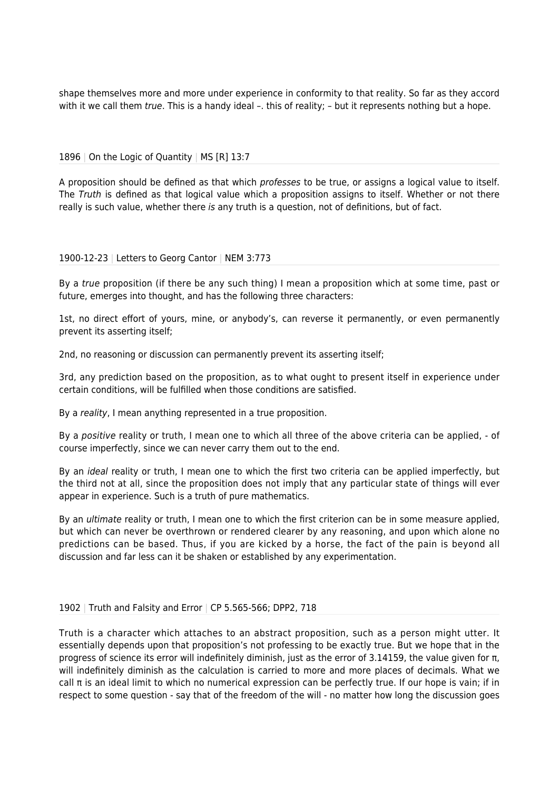shape themselves more and more under experience in conformity to that reality. So far as they accord with it we call them true. This is a handy ideal -. this of reality; - but it represents nothing but a hope.

1896 | On the Logic of Quantity | MS [R] 13:7

A proposition should be defined as that which professes to be true, or assigns a logical value to itself. The Truth is defined as that logical value which a proposition assigns to itself. Whether or not there really is such value, whether there is any truth is a question, not of definitions, but of fact.

## 1900-12-23 | Letters to Georg Cantor | NEM 3:773

By a *true* proposition (if there be any such thing) I mean a proposition which at some time, past or future, emerges into thought, and has the following three characters:

1st, no direct effort of yours, mine, or anybody's, can reverse it permanently, or even permanently prevent its asserting itself;

2nd, no reasoning or discussion can permanently prevent its asserting itself;

3rd, any prediction based on the proposition, as to what ought to present itself in experience under certain conditions, will be fulfilled when those conditions are satisfied.

By a reality, I mean anything represented in a true proposition.

By a positive reality or truth, I mean one to which all three of the above criteria can be applied, - of course imperfectly, since we can never carry them out to the end.

By an *ideal* reality or truth, I mean one to which the first two criteria can be applied imperfectly, but the third not at all, since the proposition does not imply that any particular state of things will ever appear in experience. Such is a truth of pure mathematics.

By an *ultimate* reality or truth, I mean one to which the first criterion can be in some measure applied, but which can never be overthrown or rendered clearer by any reasoning, and upon which alone no predictions can be based. Thus, if you are kicked by a horse, the fact of the pain is beyond all discussion and far less can it be shaken or established by any experimentation.

## 1902 | Truth and Falsity and Error | CP 5.565-566; DPP2, 718

Truth is a character which attaches to an abstract proposition, such as a person might utter. It essentially depends upon that proposition's not professing to be exactly true. But we hope that in the progress of science its error will indefinitely diminish, just as the error of 3.14159, the value given for π, will indefinitely diminish as the calculation is carried to more and more places of decimals. What we call π is an ideal limit to which no numerical expression can be perfectly true. If our hope is vain; if in respect to some question - say that of the freedom of the will - no matter how long the discussion goes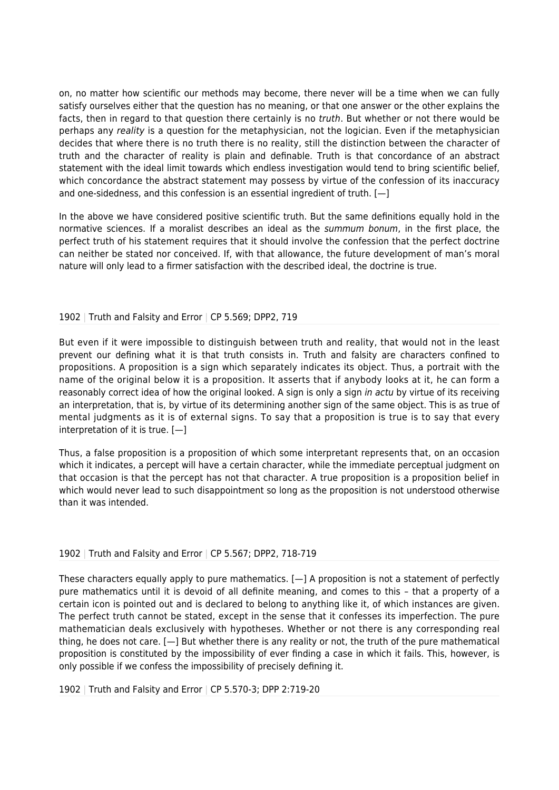on, no matter how scientific our methods may become, there never will be a time when we can fully satisfy ourselves either that the question has no meaning, or that one answer or the other explains the facts, then in regard to that question there certainly is no *truth*. But whether or not there would be perhaps any reality is a question for the metaphysician, not the logician. Even if the metaphysician decides that where there is no truth there is no reality, still the distinction between the character of truth and the character of reality is plain and definable. Truth is that concordance of an abstract statement with the ideal limit towards which endless investigation would tend to bring scientific belief, which concordance the abstract statement may possess by virtue of the confession of its inaccuracy and one-sidedness, and this confession is an essential ingredient of truth.  $[-]$ 

In the above we have considered positive scientific truth. But the same definitions equally hold in the normative sciences. If a moralist describes an ideal as the summum bonum, in the first place, the perfect truth of his statement requires that it should involve the confession that the perfect doctrine can neither be stated nor conceived. If, with that allowance, the future development of man's moral nature will only lead to a firmer satisfaction with the described ideal, the doctrine is true.

# 1902 | Truth and Falsity and Error | CP 5.569; DPP2, 719

But even if it were impossible to distinguish between truth and reality, that would not in the least prevent our defining what it is that truth consists in. Truth and falsity are characters confined to propositions. A proposition is a sign which separately indicates its object. Thus, a portrait with the name of the original below it is a proposition. It asserts that if anybody looks at it, he can form a reasonably correct idea of how the original looked. A sign is only a sign in actu by virtue of its receiving an interpretation, that is, by virtue of its determining another sign of the same object. This is as true of mental judgments as it is of external signs. To say that a proposition is true is to say that every interpretation of it is true. [—]

Thus, a false proposition is a proposition of which some interpretant represents that, on an occasion which it indicates, a percept will have a certain character, while the immediate perceptual judgment on that occasion is that the percept has not that character. A true proposition is a proposition belief in which would never lead to such disappointment so long as the proposition is not understood otherwise than it was intended.

## 1902 | Truth and Falsity and Error | CP 5.567; DPP2, 718-719

These characters equally apply to pure mathematics. [—] A proposition is not a statement of perfectly pure mathematics until it is devoid of all definite meaning, and comes to this – that a property of a certain icon is pointed out and is declared to belong to anything like it, of which instances are given. The perfect truth cannot be stated, except in the sense that it confesses its imperfection. The pure mathematician deals exclusively with hypotheses. Whether or not there is any corresponding real thing, he does not care. [—] But whether there is any reality or not, the truth of the pure mathematical proposition is constituted by the impossibility of ever finding a case in which it fails. This, however, is only possible if we confess the impossibility of precisely defining it.

1902 | Truth and Falsity and Error | CP 5.570-3; DPP 2:719-20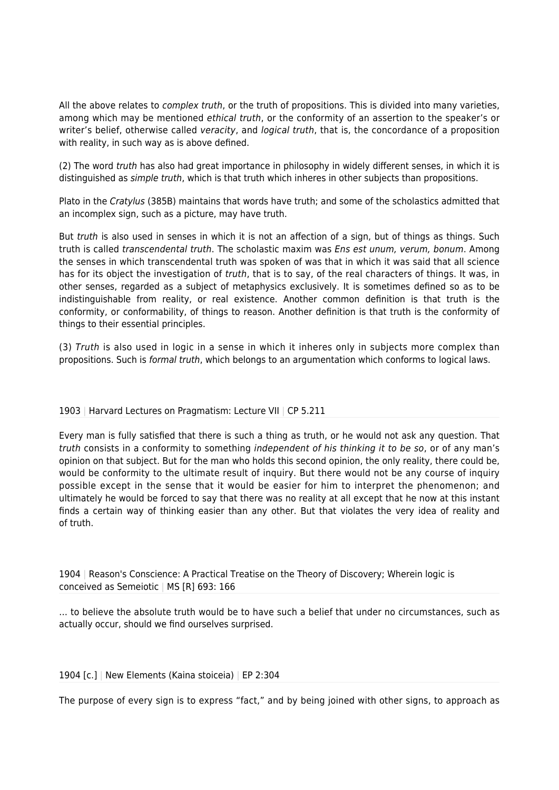All the above relates to *complex truth*, or the truth of propositions. This is divided into many varieties, among which may be mentioned ethical truth, or the conformity of an assertion to the speaker's or writer's belief, otherwise called veracity, and logical truth, that is, the concordance of a proposition with reality, in such way as is above defined.

(2) The word truth has also had great importance in philosophy in widely different senses, in which it is distinguished as simple truth, which is that truth which inheres in other subjects than propositions.

Plato in the Cratylus (385B) maintains that words have truth; and some of the scholastics admitted that an incomplex sign, such as a picture, may have truth.

But *truth* is also used in senses in which it is not an affection of a sign, but of things as things. Such truth is called transcendental truth. The scholastic maxim was Ens est unum, verum, bonum. Among the senses in which transcendental truth was spoken of was that in which it was said that all science has for its object the investigation of truth, that is to say, of the real characters of things. It was, in other senses, regarded as a subject of metaphysics exclusively. It is sometimes defined so as to be indistinguishable from reality, or real existence. Another common definition is that truth is the conformity, or conformability, of things to reason. Another definition is that truth is the conformity of things to their essential principles.

(3) Truth is also used in logic in a sense in which it inheres only in subjects more complex than propositions. Such is formal truth, which belongs to an argumentation which conforms to logical laws.

#### 1903 | Harvard Lectures on Pragmatism: Lecture VII | CP 5.211

Every man is fully satisfied that there is such a thing as truth, or he would not ask any question. That truth consists in a conformity to something independent of his thinking it to be so, or of any man's opinion on that subject. But for the man who holds this second opinion, the only reality, there could be, would be conformity to the ultimate result of inquiry. But there would not be any course of inquiry possible except in the sense that it would be easier for him to interpret the phenomenon; and ultimately he would be forced to say that there was no reality at all except that he now at this instant finds a certain way of thinking easier than any other. But that violates the very idea of reality and of truth.

1904 | Reason's Conscience: A Practical Treatise on the Theory of Discovery; Wherein logic is conceived as Semeiotic | MS [R] 693: 166

… to believe the absolute truth would be to have such a belief that under no circumstances, such as actually occur, should we find ourselves surprised.

1904 [c.] | New Elements (Kaina stoiceia) | EP 2:304

The purpose of every sign is to express "fact," and by being joined with other signs, to approach as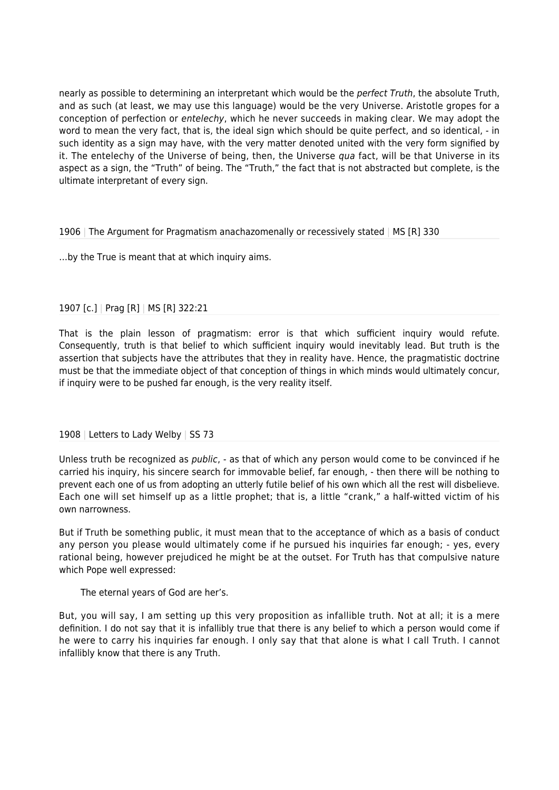nearly as possible to determining an interpretant which would be the *perfect Truth*, the absolute Truth, and as such (at least, we may use this language) would be the very Universe. Aristotle gropes for a conception of perfection or entelechy, which he never succeeds in making clear. We may adopt the word to mean the very fact, that is, the ideal sign which should be quite perfect, and so identical, - in such identity as a sign may have, with the very matter denoted united with the very form signified by it. The entelechy of the Universe of being, then, the Universe qua fact, will be that Universe in its aspect as a sign, the "Truth" of being. The "Truth," the fact that is not abstracted but complete, is the ultimate interpretant of every sign.

1906 | The Argument for Pragmatism anachazomenally or recessively stated | MS [R] 330

…by the True is meant that at which inquiry aims.

## 1907 [c.] | Prag [R] | MS [R] 322:21

That is the plain lesson of pragmatism: error is that which sufficient inquiry would refute. Consequently, truth is that belief to which sufficient inquiry would inevitably lead. But truth is the assertion that subjects have the attributes that they in reality have. Hence, the pragmatistic doctrine must be that the immediate object of that conception of things in which minds would ultimately concur, if inquiry were to be pushed far enough, is the very reality itself.

## 1908 | Letters to Lady Welby | SS 73

Unless truth be recognized as public, - as that of which any person would come to be convinced if he carried his inquiry, his sincere search for immovable belief, far enough, - then there will be nothing to prevent each one of us from adopting an utterly futile belief of his own which all the rest will disbelieve. Each one will set himself up as a little prophet; that is, a little "crank," a half-witted victim of his own narrowness.

But if Truth be something public, it must mean that to the acceptance of which as a basis of conduct any person you please would ultimately come if he pursued his inquiries far enough; - yes, every rational being, however prejudiced he might be at the outset. For Truth has that compulsive nature which Pope well expressed:

The eternal years of God are her's.

But, you will say, I am setting up this very proposition as infallible truth. Not at all; it is a mere definition. I do not say that it is infallibly true that there is any belief to which a person would come if he were to carry his inquiries far enough. I only say that that alone is what I call Truth. I cannot infallibly know that there is any Truth.